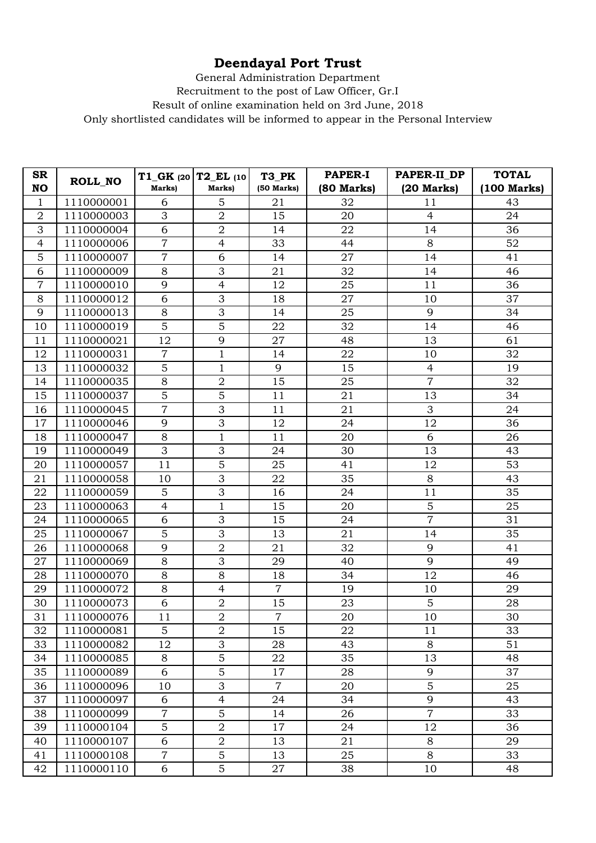## **Deendayal Port Trust**

General Administration Department

Recruitment to the post of Law Officer, Gr.I

Result of online examination held on 3rd June, 2018

Only shortlisted candidates will be informed to appear in the Personal Interview

| <b>SR</b><br><b>NO</b> | ROLL_NO    | $T1_GK$ (20 $T2_EL$ (10<br>Marks) | Marks)           | T3 PK<br>$(50$ Marks) | <b>PAPER-I</b><br>(80 Marks) | PAPER-II_DP<br>$(20$ Marks) | <b>TOTAL</b><br>(100 Marks) |
|------------------------|------------|-----------------------------------|------------------|-----------------------|------------------------------|-----------------------------|-----------------------------|
| $\mathbf{1}$           | 1110000001 | 6                                 | 5                | 21                    | 32                           | 11                          | 43                          |
| $\overline{2}$         | 1110000003 | 3                                 | $\overline{2}$   | 15                    | 20                           | $\overline{4}$              | 24                          |
| 3                      | 1110000004 | 6                                 | $\sqrt{2}$       | 14                    | 22                           | 14                          | 36                          |
| $\overline{4}$         | 1110000006 | $\overline{7}$                    | $\overline{4}$   | 33                    | 44                           | $8\,$                       | 52                          |
| 5                      | 1110000007 | $\overline{7}$                    | 6                | 14                    | 27                           | 14                          | 41                          |
| 6                      | 1110000009 | $8\,$                             | 3                | 21                    | 32                           | 14                          | 46                          |
| $\overline{7}$         | 1110000010 | 9                                 | $\overline{4}$   | 12                    | 25                           | 11                          | 36                          |
| 8                      | 1110000012 | 6                                 | 3                | 18                    | 27                           | 10                          | 37                          |
| 9                      | 1110000013 | $8\,$                             | 3                | 14                    | 25                           | 9                           | 34                          |
| 10                     | 1110000019 | 5                                 | $\overline{5}$   | 22                    | 32                           | 14                          | 46                          |
| 11                     | 1110000021 | 12                                | 9                | 27                    | 48                           | 13                          | 61                          |
| 12                     | 1110000031 | $\overline{7}$                    | $\mathbf 1$      | 14                    | 22                           | 10                          | 32                          |
| 13                     | 1110000032 | 5                                 | $\mathbf{1}$     | 9                     | 15                           | $\overline{4}$              | 19                          |
| 14                     | 1110000035 | $8\,$                             | $\overline{2}$   | 15                    | 25                           | $\overline{7}$              | 32                          |
| 15                     | 1110000037 | $\overline{5}$                    | $\overline{5}$   | 11                    | 21                           | 13                          | 34                          |
| 16                     | 1110000045 | $\overline{7}$                    | 3                | 11                    | 21                           | 3                           | 24                          |
| 17                     | 1110000046 | 9                                 | 3                | 12                    | 24                           | 12                          | 36                          |
| 18                     | 1110000047 | $8\,$                             | $\mathbf{1}$     | 11                    | 20                           | 6                           | 26                          |
| 19                     | 1110000049 | 3                                 | 3                | 24                    | 30                           | 13                          | 43                          |
| 20                     | 1110000057 | 11                                | 5                | 25                    | 41                           | 12                          | 53                          |
| 21                     | 1110000058 | 10                                | $\overline{3}$   | 22                    | 35                           | $8\,$                       | 43                          |
| 22                     | 1110000059 | 5                                 | 3                | 16                    | 24                           | 11                          | 35                          |
| 23                     | 1110000063 | $\overline{4}$                    | $\mathbf{1}$     | 15                    | 20                           | 5                           | 25                          |
| 24                     | 1110000065 | 6                                 | 3                | 15                    | 24                           | $\overline{7}$              | 31                          |
| 25                     | 1110000067 | 5                                 | 3                | 13                    | 21                           | 14                          | 35                          |
| 26                     | 1110000068 | 9                                 | $\overline{2}$   | 21                    | 32                           | 9                           | 41                          |
| 27                     | 1110000069 | 8                                 | 3                | 29                    | 40                           | 9                           | 49                          |
| 28                     | 1110000070 | $8\,$                             | 8                | 18                    | 34                           | 12                          | 46                          |
| 29                     | 1110000072 | $8\,$                             | $\overline{4}$   | $\overline{7}$        | 19                           | 10                          | 29                          |
| 30                     | 1110000073 | 6                                 | $\overline{2}$   | 15                    | 23                           | 5                           | 28                          |
| $\overline{31}$        | 1110000076 | $\overline{11}$                   | $\overline{2}$   | $\overline{7}$        | $\overline{20}$              | $10\,$                      | $\overline{30}$             |
| 32                     | 1110000081 | 5                                 | $\sqrt{2}$       | 15                    | 22                           | 11                          | 33                          |
| 33                     | 1110000082 | 12                                | 3                | 28                    | 43                           | 8                           | 51                          |
| 34                     | 1110000085 | 8                                 | $\overline{5}$   | 22                    | 35                           | 13                          | 48                          |
| 35                     | 1110000089 | $\sqrt{6}$                        | $\overline{5}$   | 17                    | 28                           | 9                           | 37                          |
| 36                     | 1110000096 | 10                                | 3                | $\overline{7}$        | 20                           | 5                           | 25                          |
| 37                     | 1110000097 | 6                                 | $\overline{4}$   | 24                    | 34                           | 9                           | 43                          |
| 38                     | 1110000099 | $\overline{7}$                    | $\overline{5}$   | 14                    | 26                           | $\overline{7}$              | 33                          |
| 39                     | 1110000104 | 5                                 | $\boldsymbol{2}$ | 17                    | 24                           | 12                          | 36                          |
| 40                     | 1110000107 | 6                                 | $\overline{2}$   | 13                    | 21                           | $8\,$                       | 29                          |
| 41                     | 1110000108 | $\overline{7}$                    | 5                | 13                    | 25                           | 8                           | 33                          |
| 42                     | 1110000110 | 6                                 | 5                | 27                    | 38                           | 10                          | 48                          |